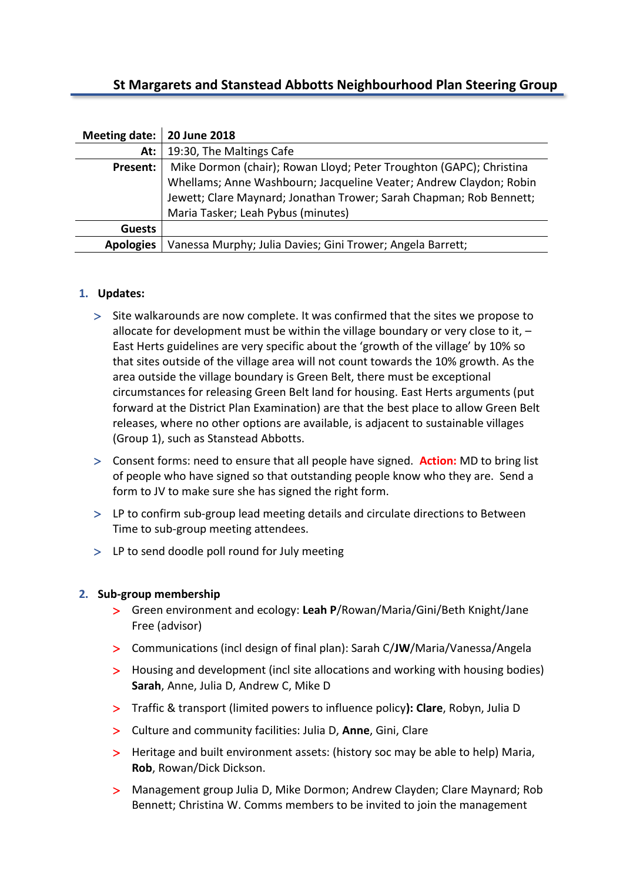## **St Margarets and Stanstead Abbotts Neighbourhood Plan Steering Group**

| Meeting date:   20 June 2018 |                                                                     |
|------------------------------|---------------------------------------------------------------------|
| At:                          | 19:30, The Maltings Cafe                                            |
| Present:                     | Mike Dormon (chair); Rowan Lloyd; Peter Troughton (GAPC); Christina |
|                              | Whellams; Anne Washbourn; Jacqueline Veater; Andrew Claydon; Robin  |
|                              | Jewett; Clare Maynard; Jonathan Trower; Sarah Chapman; Rob Bennett; |
|                              | Maria Tasker; Leah Pybus (minutes)                                  |
| <b>Guests</b>                |                                                                     |
| <b>Apologies</b>             | Vanessa Murphy; Julia Davies; Gini Trower; Angela Barrett;          |

## **1. Updates:**

- Site walkarounds are now complete. It was confirmed that the sites we propose to allocate for development must be within the village boundary or very close to it, – East Herts guidelines are very specific about the 'growth of the village' by 10% so that sites outside of the village area will not count towards the 10% growth. As the area outside the village boundary is Green Belt, there must be exceptional circumstances for releasing Green Belt land for housing. East Herts arguments (put forward at the District Plan Examination) are that the best place to allow Green Belt releases, where no other options are available, is adjacent to sustainable villages (Group 1), such as Stanstead Abbotts.
- Consent forms: need to ensure that all people have signed. **Action:** MD to bring list of people who have signed so that outstanding people know who they are. Send a form to JV to make sure she has signed the right form.
- LP to confirm sub-group lead meeting details and circulate directions to Between Time to sub-group meeting attendees.
- LP to send doodle poll round for July meeting

## **2. Sub-group membership**

- Green environment and ecology: **Leah P**/Rowan/Maria/Gini/Beth Knight/Jane Free (advisor)
- Communications (incl design of final plan): Sarah C/**JW**/Maria/Vanessa/Angela
- Housing and development (incl site allocations and working with housing bodies) **Sarah**, Anne, Julia D, Andrew C, Mike D
- Traffic & transport (limited powers to influence policy**): Clare**, Robyn, Julia D
- Culture and community facilities: Julia D, **Anne**, Gini, Clare
- > Heritage and built environment assets: (history soc may be able to help) Maria, **Rob**, Rowan/Dick Dickson.
- Management group Julia D, Mike Dormon; Andrew Clayden; Clare Maynard; Rob Bennett; Christina W. Comms members to be invited to join the management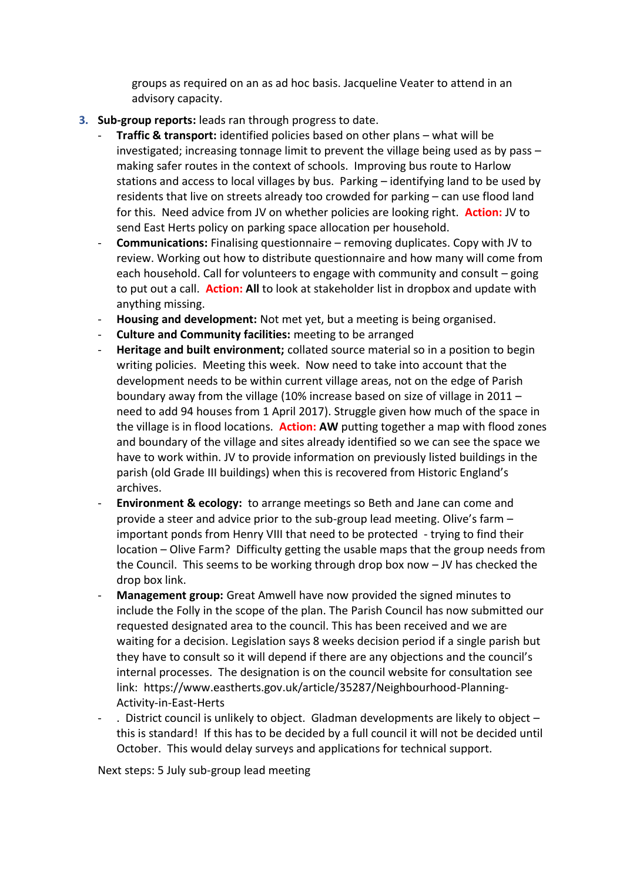groups as required on an as ad hoc basis. Jacqueline Veater to attend in an advisory capacity.

- **3. Sub-group reports:** leads ran through progress to date.
	- **Traffic & transport:** identified policies based on other plans what will be investigated; increasing tonnage limit to prevent the village being used as by pass – making safer routes in the context of schools. Improving bus route to Harlow stations and access to local villages by bus. Parking – identifying land to be used by residents that live on streets already too crowded for parking – can use flood land for this. Need advice from JV on whether policies are looking right. **Action:** JV to send East Herts policy on parking space allocation per household.
	- **Communications:** Finalising questionnaire removing duplicates. Copy with JV to review. Working out how to distribute questionnaire and how many will come from each household. Call for volunteers to engage with community and consult – going to put out a call. **Action: All** to look at stakeholder list in dropbox and update with anything missing.
	- **Housing and development:** Not met yet, but a meeting is being organised.
	- **Culture and Community facilities:** meeting to be arranged
	- **Heritage and built environment;** collated source material so in a position to begin writing policies. Meeting this week. Now need to take into account that the development needs to be within current village areas, not on the edge of Parish boundary away from the village (10% increase based on size of village in 2011 – need to add 94 houses from 1 April 2017). Struggle given how much of the space in the village is in flood locations. **Action: AW** putting together a map with flood zones and boundary of the village and sites already identified so we can see the space we have to work within. JV to provide information on previously listed buildings in the parish (old Grade III buildings) when this is recovered from Historic England's archives.
	- **Environment & ecology:** to arrange meetings so Beth and Jane can come and provide a steer and advice prior to the sub-group lead meeting. Olive's farm – important ponds from Henry VIII that need to be protected - trying to find their location – Olive Farm? Difficulty getting the usable maps that the group needs from the Council. This seems to be working through drop box now – JV has checked the drop box link.
	- **Management group:** Great Amwell have now provided the signed minutes to include the Folly in the scope of the plan. The Parish Council has now submitted our requested designated area to the council. This has been received and we are waiting for a decision. Legislation says 8 weeks decision period if a single parish but they have to consult so it will depend if there are any objections and the council's internal processes. The designation is on the council website for consultation see link: https://www.eastherts.gov.uk/article/35287/Neighbourhood-Planning-Activity-in-East-Herts
	- $\cdot$  District council is unlikely to object. Gladman developments are likely to object  $$ this is standard! If this has to be decided by a full council it will not be decided until October. This would delay surveys and applications for technical support.

Next steps: 5 July sub-group lead meeting